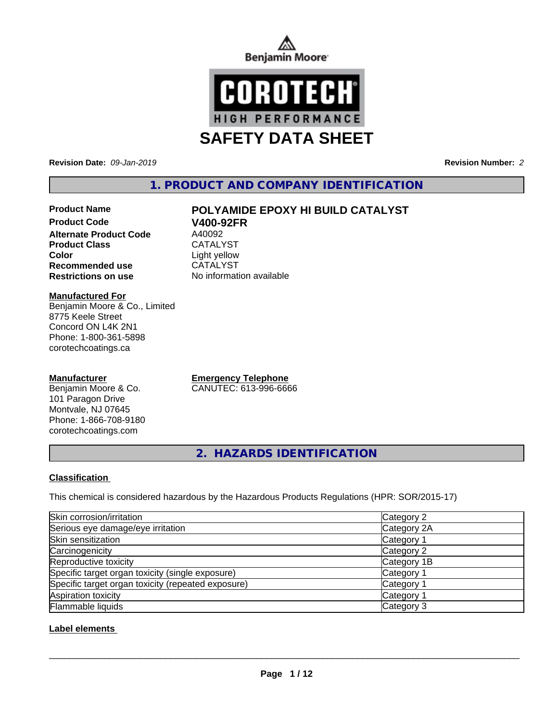



**Revision Date:** *09-Jan-2019* **Revision Number:** *2*

**1. PRODUCT AND COMPANY IDENTIFICATION**

# **Product Code V400-92FR Alternate Product Code** Product Class CATALYST **Color**<br> **Recommended use**<br>
CATALYST **Recommended use**

# **Product Name POLYAMIDE EPOXY HI BUILD CATALYST**

**Restrictions on use** No information available

**Manufactured For**

Benjamin Moore & Co., Limited 8775 Keele Street Concord ON L4K 2N1 Phone: 1-800-361-5898 corotechcoatings.ca

# **Manufacturer**

Benjamin Moore & Co. 101 Paragon Drive Montvale, NJ 07645 Phone: 1-866-708-9180 corotechcoatings.com

**Emergency Telephone** CANUTEC: 613-996-6666

**2. HAZARDS IDENTIFICATION**

# **Classification**

This chemical is considered hazardous by the Hazardous Products Regulations (HPR: SOR/2015-17)

| Skin corrosion/irritation                          | Category 2            |
|----------------------------------------------------|-----------------------|
| Serious eye damage/eye irritation                  | Category 2A           |
| Skin sensitization                                 | Category 1            |
| Carcinogenicity                                    | Category 2            |
| Reproductive toxicity                              | Category 1B           |
| Specific target organ toxicity (single exposure)   | Category <sup>2</sup> |
| Specific target organ toxicity (repeated exposure) | Category <sup>2</sup> |
| Aspiration toxicity                                | Category <sup>2</sup> |
| Flammable liquids                                  | Category 3            |

# **Label elements**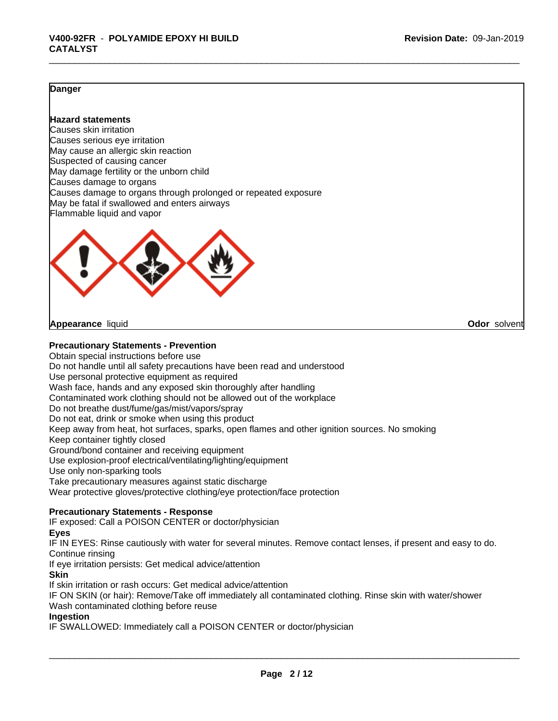# **Danger**

# **Hazard statements**

Causes skin irritation Causes serious eye irritation May cause an allergic skin reaction Suspected of causing cancer May damage fertility or the unborn child Causes damage to organs Causes damage to organs through prolonged or repeated exposure May be fatal if swallowed and enters airways Flammable liquid and vapor



**Appearance** liquid **Odor** solvent

#### **Precautionary Statements - Prevention**

Obtain special instructions before use Do not handle until all safety precautions have been read and understood Use personal protective equipment as required Wash face, hands and any exposed skin thoroughly after handling Contaminated work clothing should not be allowed out of the workplace Do not breathe dust/fume/gas/mist/vapors/spray Do not eat, drink or smoke when using this product Keep away from heat, hot surfaces, sparks, open flames and other ignition sources. No smoking Keep container tightly closed Ground/bond container and receiving equipment Use explosion-proof electrical/ventilating/lighting/equipment Use only non-sparking tools Take precautionary measures against static discharge Wear protective gloves/protective clothing/eye protection/face protection **Precautionary Statements - Response** IF exposed: Call a POISON CENTER or doctor/physician **Eyes**

IF IN EYES: Rinse cautiously with water for several minutes. Remove contact lenses, if present and easy to do. Continue rinsing

If eye irritation persists: Get medical advice/attention

**Skin**

If skin irritation or rash occurs: Get medical advice/attention

IF ON SKIN (or hair): Remove/Take off immediately all contaminated clothing. Rinse skin with water/shower Wash contaminated clothing before reuse

#### **Ingestion**

IF SWALLOWED: Immediately call a POISON CENTER or doctor/physician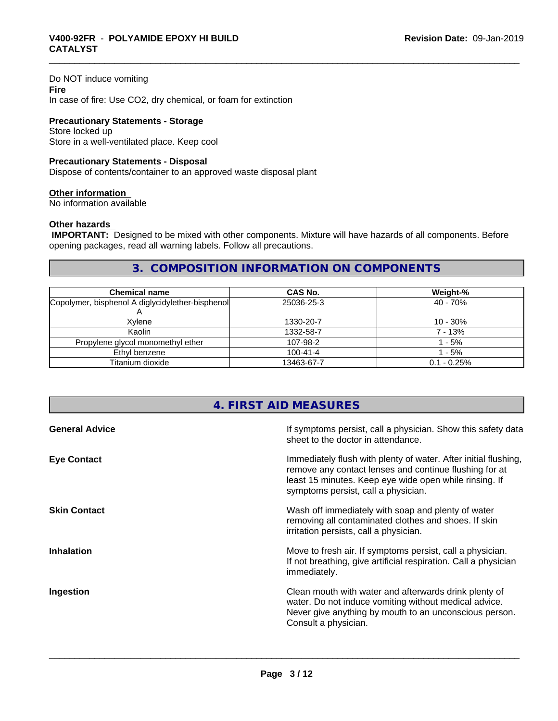# Do NOT induce vomiting **Fire** In case of fire: Use CO2, dry chemical, or foam for extinction

**Precautionary Statements - Storage** Store locked up Store in a well-ventilated place. Keep cool

# **Precautionary Statements - Disposal**

Dispose of contents/container to an approved waste disposal plant

## **Other information**

No information available

# **Other hazards**

 **IMPORTANT:** Designed to be mixed with other components. Mixture will have hazards of all components. Before opening packages, read all warning labels. Follow all precautions.

# **3. COMPOSITION INFORMATION ON COMPONENTS**

| <b>Chemical name</b>                             | <b>CAS No.</b> | Weight-%      |
|--------------------------------------------------|----------------|---------------|
| Copolymer, bisphenol A diglycidylether-bisphenol | 25036-25-3     | 40 - 70%      |
| Xvlene                                           | 1330-20-7      | 10 - 30%      |
| Kaolin                                           | 1332-58-7      | 7 - 13%       |
| Propylene glycol monomethyl ether                | 107-98-2       | - 5%          |
| Ethyl benzene                                    | $100 - 41 - 4$ | $-5%$         |
| Titanium dioxide                                 | 13463-67-7     | $0.1 - 0.25%$ |

# **4. FIRST AID MEASURES**

| <b>General Advice</b> | If symptoms persist, call a physician. Show this safety data<br>sheet to the doctor in attendance.                                                                                                                         |
|-----------------------|----------------------------------------------------------------------------------------------------------------------------------------------------------------------------------------------------------------------------|
| <b>Eye Contact</b>    | Immediately flush with plenty of water. After initial flushing,<br>remove any contact lenses and continue flushing for at<br>least 15 minutes. Keep eye wide open while rinsing. If<br>symptoms persist, call a physician. |
| <b>Skin Contact</b>   | Wash off immediately with soap and plenty of water<br>removing all contaminated clothes and shoes. If skin<br>irritation persists, call a physician.                                                                       |
| <b>Inhalation</b>     | Move to fresh air. If symptoms persist, call a physician.<br>If not breathing, give artificial respiration. Call a physician<br>immediately.                                                                               |
| Ingestion             | Clean mouth with water and afterwards drink plenty of<br>water. Do not induce vomiting without medical advice.<br>Never give anything by mouth to an unconscious person.<br>Consult a physician.                           |
|                       |                                                                                                                                                                                                                            |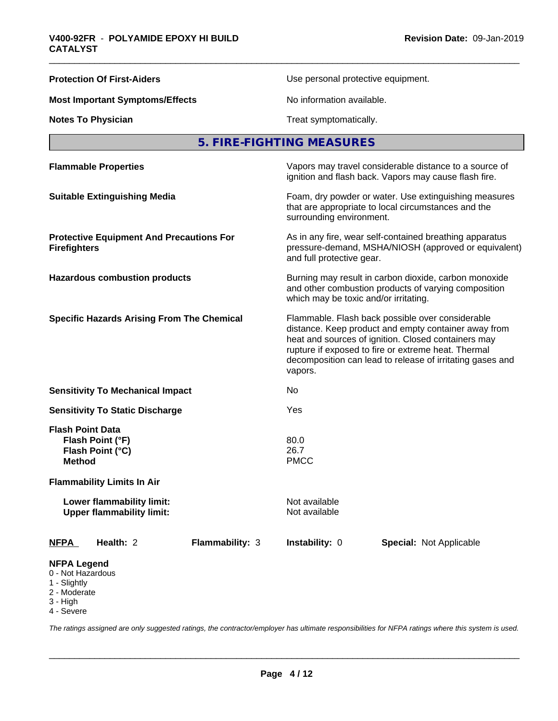| <b>Protection Of First-Aiders</b>                                                | Use personal protective equipment.                                                                                                                                                                                                                                                             |
|----------------------------------------------------------------------------------|------------------------------------------------------------------------------------------------------------------------------------------------------------------------------------------------------------------------------------------------------------------------------------------------|
| <b>Most Important Symptoms/Effects</b>                                           | No information available.                                                                                                                                                                                                                                                                      |
| <b>Notes To Physician</b>                                                        | Treat symptomatically.                                                                                                                                                                                                                                                                         |
|                                                                                  | 5. FIRE-FIGHTING MEASURES                                                                                                                                                                                                                                                                      |
| <b>Flammable Properties</b>                                                      | Vapors may travel considerable distance to a source of<br>ignition and flash back. Vapors may cause flash fire.                                                                                                                                                                                |
| <b>Suitable Extinguishing Media</b>                                              | Foam, dry powder or water. Use extinguishing measures<br>that are appropriate to local circumstances and the<br>surrounding environment.                                                                                                                                                       |
| <b>Protective Equipment And Precautions For</b><br><b>Firefighters</b>           | As in any fire, wear self-contained breathing apparatus<br>pressure-demand, MSHA/NIOSH (approved or equivalent)<br>and full protective gear.                                                                                                                                                   |
| <b>Hazardous combustion products</b>                                             | Burning may result in carbon dioxide, carbon monoxide<br>and other combustion products of varying composition<br>which may be toxic and/or irritating.                                                                                                                                         |
| <b>Specific Hazards Arising From The Chemical</b>                                | Flammable. Flash back possible over considerable<br>distance. Keep product and empty container away from<br>heat and sources of ignition. Closed containers may<br>rupture if exposed to fire or extreme heat. Thermal<br>decomposition can lead to release of irritating gases and<br>vapors. |
| <b>Sensitivity To Mechanical Impact</b>                                          | No                                                                                                                                                                                                                                                                                             |
| <b>Sensitivity To Static Discharge</b>                                           | Yes                                                                                                                                                                                                                                                                                            |
| <b>Flash Point Data</b><br>Flash Point (°F)<br>Flash Point (°C)<br><b>Method</b> | 80.0<br>26.7<br><b>PMCC</b>                                                                                                                                                                                                                                                                    |
| <b>Flammability Limits In Air</b>                                                |                                                                                                                                                                                                                                                                                                |
| Lower flammability limit:<br><b>Upper flammability limit:</b>                    | Not available<br>Not available                                                                                                                                                                                                                                                                 |
| Health: 2<br>Flammability: 3<br><b>NFPA</b>                                      | Instability: 0<br><b>Special: Not Applicable</b>                                                                                                                                                                                                                                               |
| <b>NFPA Legend</b><br>0 - Not Hazardous<br>1 - Slightly                          |                                                                                                                                                                                                                                                                                                |

- 
- 2 Moderate
- 3 High
- 4 Severe

*The ratings assigned are only suggested ratings, the contractor/employer has ultimate responsibilities for NFPA ratings where this system is used.*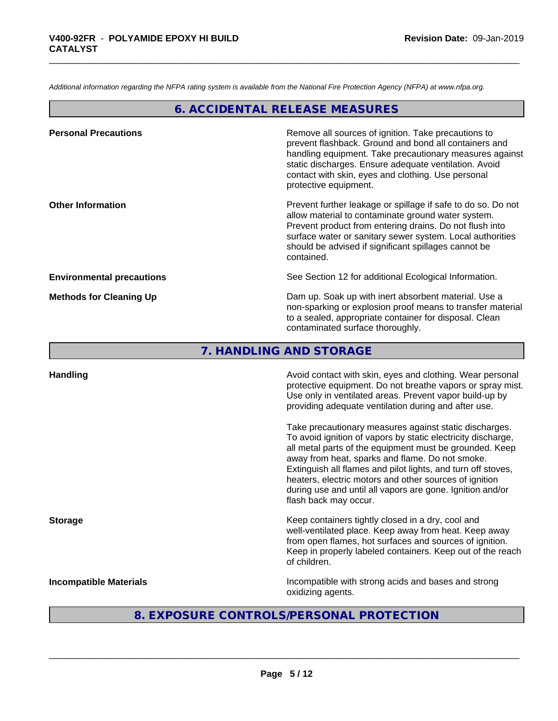*Additional information regarding the NFPA rating system is available from the National Fire Protection Agency (NFPA) at www.nfpa.org.*

# **6. ACCIDENTAL RELEASE MEASURES**

| Remove all sources of ignition. Take precautions to<br>prevent flashback. Ground and bond all containers and<br>handling equipment. Take precautionary measures against<br>static discharges. Ensure adequate ventilation. Avoid<br>contact with skin, eyes and clothing. Use personal<br>protective equipment.  |
|------------------------------------------------------------------------------------------------------------------------------------------------------------------------------------------------------------------------------------------------------------------------------------------------------------------|
| Prevent further leakage or spillage if safe to do so. Do not<br>allow material to contaminate ground water system.<br>Prevent product from entering drains. Do not flush into<br>surface water or sanitary sewer system. Local authorities<br>should be advised if significant spillages cannot be<br>contained. |
| See Section 12 for additional Ecological Information.                                                                                                                                                                                                                                                            |
| Dam up. Soak up with inert absorbent material. Use a<br>non-sparking or explosion proof means to transfer material<br>to a sealed, appropriate container for disposal. Clean<br>contaminated surface thoroughly.                                                                                                 |
|                                                                                                                                                                                                                                                                                                                  |

**7. HANDLING AND STORAGE**

| <b>Handling</b>               | Avoid contact with skin, eyes and clothing. Wear personal<br>protective equipment. Do not breathe vapors or spray mist.<br>Use only in ventilated areas. Prevent vapor build-up by<br>providing adequate ventilation during and after use.                                                                                                                                                                                                           |
|-------------------------------|------------------------------------------------------------------------------------------------------------------------------------------------------------------------------------------------------------------------------------------------------------------------------------------------------------------------------------------------------------------------------------------------------------------------------------------------------|
|                               | Take precautionary measures against static discharges.<br>To avoid ignition of vapors by static electricity discharge,<br>all metal parts of the equipment must be grounded. Keep<br>away from heat, sparks and flame. Do not smoke.<br>Extinguish all flames and pilot lights, and turn off stoves,<br>heaters, electric motors and other sources of ignition<br>during use and until all vapors are gone. Ignition and/or<br>flash back may occur. |
| <b>Storage</b>                | Keep containers tightly closed in a dry, cool and<br>well-ventilated place. Keep away from heat. Keep away<br>from open flames, hot surfaces and sources of ignition.<br>Keep in properly labeled containers. Keep out of the reach<br>of children.                                                                                                                                                                                                  |
| <b>Incompatible Materials</b> | Incompatible with strong acids and bases and strong<br>oxidizing agents.                                                                                                                                                                                                                                                                                                                                                                             |

# **8. EXPOSURE CONTROLS/PERSONAL PROTECTION**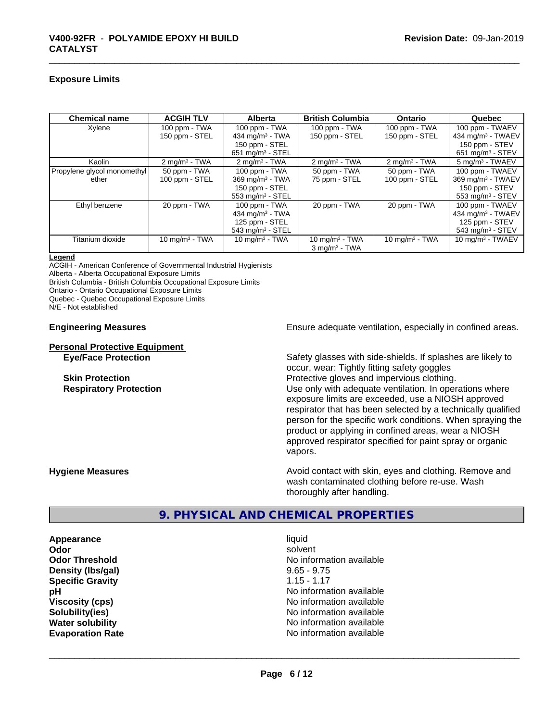## **Exposure Limits**

| <b>Chemical name</b>        | <b>ACGIH TLV</b>         | <b>Alberta</b>                 | <b>British Columbia</b>  | <b>Ontario</b>           | Quebec                         |
|-----------------------------|--------------------------|--------------------------------|--------------------------|--------------------------|--------------------------------|
| Xylene                      | 100 ppm - TWA            | 100 ppm - TWA                  | $100$ ppm $-$ TWA        | 100 ppm - TWA            | 100 ppm - TWAEV                |
|                             | 150 ppm - STEL           | 434 mg/m $3$ - TWA             | 150 ppm - STEL           | 150 ppm - STEL           | 434 mg/m <sup>3</sup> - TWAEV  |
|                             |                          | 150 ppm - STEL                 |                          |                          | 150 ppm - STEV                 |
|                             |                          | 651 mg/m <sup>3</sup> - STEL   |                          |                          | $651$ mg/m <sup>3</sup> - STEV |
| Kaolin                      | $2 \text{ mg/m}^3$ - TWA | $2 \text{ mg/m}^3$ - TWA       | $2 \text{ mg/m}^3$ - TWA | $2 \text{ mg/m}^3$ - TWA | 5 mg/m <sup>3</sup> - TWAEV    |
| Propylene glycol monomethyl | 50 ppm - TWA             | 100 ppm - TWA                  | 50 ppm - TWA             | 50 ppm - TWA             | 100 ppm - TWAEV                |
| ether                       | 100 ppm - STEL           | 369 mg/m <sup>3</sup> - TWA    | 75 ppm - STEL            | 100 ppm - STEL           | 369 mg/m <sup>3</sup> - TWAEV  |
|                             |                          | 150 ppm - STEL                 |                          |                          | 150 ppm - STEV                 |
|                             |                          | $553$ mg/m <sup>3</sup> - STEL |                          |                          | $553 \text{ mg/m}^3$ - STEV    |
| Ethyl benzene               | 20 ppm - TWA             | $100$ ppm $-$ TWA              | 20 ppm - TWA             | 20 ppm - TWA             | 100 ppm - TWAEV                |
|                             |                          | 434 mg/m $3$ - TWA             |                          |                          | 434 mg/m $3$ - TWAEV           |
|                             |                          | 125 ppm - STEL                 |                          |                          | 125 ppm - STEV                 |
|                             |                          | $543$ mg/m <sup>3</sup> - STEL |                          |                          | $543$ mg/m <sup>3</sup> - STEV |
| Titanium dioxide            | 10 mg/m $3$ - TWA        | 10 mg/m $3 - TWA$              | 10 mg/m $3$ - TWA        | 10 mg/m $3$ - TWA        | 10 mg/m $3$ - TWAEV            |
|                             |                          |                                | $3 \text{ mg/m}^3$ - TWA |                          |                                |

#### **Legend**

ACGIH - American Conference of Governmental Industrial Hygienists Alberta - Alberta Occupational Exposure Limits

British Columbia - British Columbia Occupational Exposure Limits

Ontario - Ontario Occupational Exposure Limits

Quebec - Quebec Occupational Exposure Limits

N/E - Not established

# **Personal Protective Equipment**<br> **Eve/Face Protection**

**Engineering Measures Ensure** Ensure adequate ventilation, especially in confined areas.

Safety glasses with side-shields. If splashes are likely to occur, wear: Tightly fitting safety goggles **Skin Protection Protection Protective gloves and impervious clothing. Respiratory Protection Network 1** and the Use only with adequate ventilation. In operations where exposure limits are exceeded, use a NIOSH approved respirator that has been selected by a technically qualified person for the specific work conditions. When spraying the product or applying in confined areas, wear a NIOSH approved respirator specified for paint spray or organic vapors.

**Hygiene Measures Avoid contact with skin, eyes and clothing. Remove and Avoid contact with skin, eyes and clothing. Remove and Avoid contact with skin, eyes and clothing. Remove and** wash contaminated clothing before re-use. Wash thoroughly after handling.

# **9. PHYSICAL AND CHEMICAL PROPERTIES**

**Appearance** liquid **Odor** solvent **Density (Ibs/gal)** 9.65 - 9.75<br> **Specific Gravity** 1.15 - 1.17 **Specific Gravity** 

**Odor Threshold No information available** No information available **pH** No information available **Viscosity (cps)** No information available **Solubility(ies)** No information available **Water solubility** No information available **Evaporation Rate No information available No information available**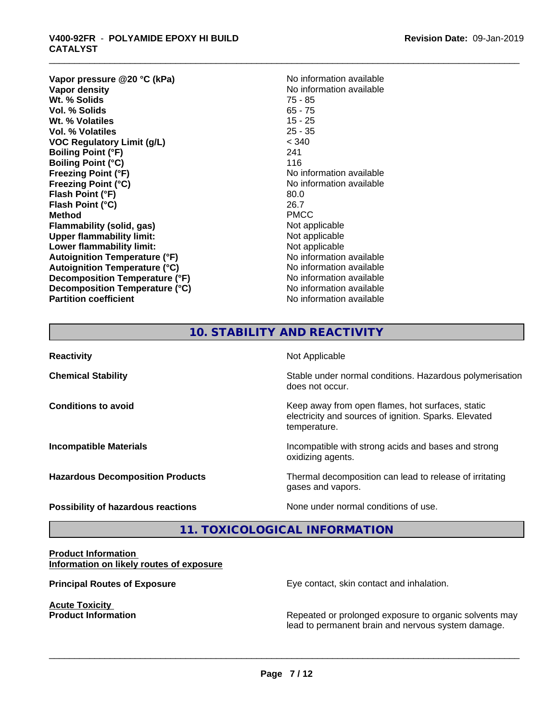**Vapor pressure @20 °C (kPa)** No information available<br> **Vapor density** No information available **Wt. % Solids** 75 - 85 **Vol. % Solids Wt. % Volatiles** 15 - 25 **Vol. % Volatiles** 25 - 35 **VOC Regulatory Limit (g/L)** < 340 **Boiling Point (°F)** 241 **Boiling Point (°C) Freezing Point (°F)** No information available **Freezing Point (°C)** No information available **Flash Point (°F)** 80.0 **Flash Point (°C)** 26.7 **Method** PMCC **Flammability (solid, gas)** Not applicable **Upper flammability limit:**<br> **Lower flammability limit:** Not applicable Not applicable **Lower flammability limit:**<br> **Autoignition Temperature (°F)** Not applicable havailable **Autoignition Temperature (°F) Autoignition Temperature (°C)**<br> **Decomposition Temperature (°F)** No information available **Decomposition Temperature (°F) Decomposition Temperature (°C)** No information available **Partition coefficient Contract Community No information available** 

**Revision Date:** 09-Jan-2019

**No information available**<br>75 - 85

# **10. STABILITY AND REACTIVITY**

| <b>Reactivity</b>                       | Not Applicable                                                                                                            |
|-----------------------------------------|---------------------------------------------------------------------------------------------------------------------------|
| <b>Chemical Stability</b>               | Stable under normal conditions. Hazardous polymerisation<br>does not occur.                                               |
| <b>Conditions to avoid</b>              | Keep away from open flames, hot surfaces, static<br>electricity and sources of ignition. Sparks. Elevated<br>temperature. |
| <b>Incompatible Materials</b>           | Incompatible with strong acids and bases and strong<br>oxidizing agents.                                                  |
| <b>Hazardous Decomposition Products</b> | Thermal decomposition can lead to release of irritating<br>gases and vapors.                                              |
| Possibility of hazardous reactions      | None under normal conditions of use.                                                                                      |

# **11. TOXICOLOGICAL INFORMATION**

## **Product Information Information on likely routes of exposure**

**Acute Toxicity<br>Product Information** 

**Principal Routes of Exposure Exposure** Eye contact, skin contact and inhalation.

 $\overline{\phantom{a}}$  ,  $\overline{\phantom{a}}$  ,  $\overline{\phantom{a}}$  ,  $\overline{\phantom{a}}$  ,  $\overline{\phantom{a}}$  ,  $\overline{\phantom{a}}$  ,  $\overline{\phantom{a}}$  ,  $\overline{\phantom{a}}$  ,  $\overline{\phantom{a}}$  ,  $\overline{\phantom{a}}$  ,  $\overline{\phantom{a}}$  ,  $\overline{\phantom{a}}$  ,  $\overline{\phantom{a}}$  ,  $\overline{\phantom{a}}$  ,  $\overline{\phantom{a}}$  ,  $\overline{\phantom{a}}$ 

**Repeated or prolonged exposure to organic solvents may** lead to permanent brain and nervous system damage.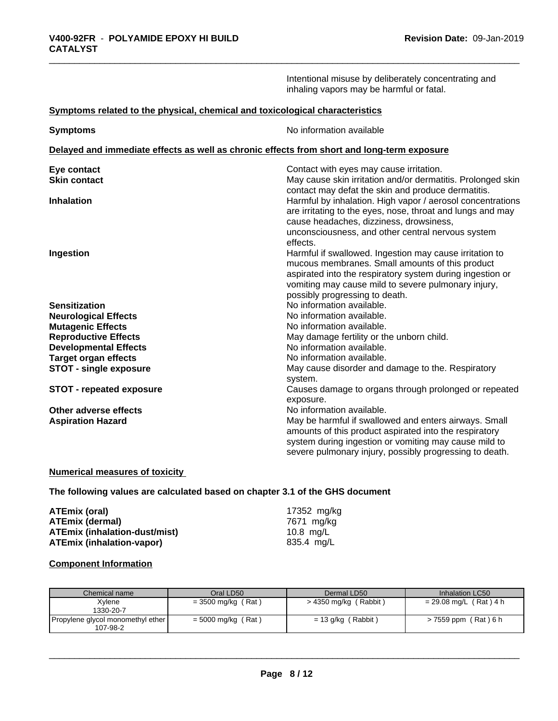Intentional misuse by deliberately concentrating and inhaling vapors may be harmful or fatal.

# **Symptoms related to the physical,chemical and toxicological characteristics**

| <b>Symptoms</b>                 | No information available                                                                                         |
|---------------------------------|------------------------------------------------------------------------------------------------------------------|
|                                 | Delayed and immediate effects as well as chronic effects from short and long-term exposure                       |
| Eye contact                     | Contact with eyes may cause irritation.                                                                          |
| <b>Skin contact</b>             | May cause skin irritation and/or dermatitis. Prolonged skin                                                      |
| <b>Inhalation</b>               | contact may defat the skin and produce dermatitis.<br>Harmful by inhalation. High vapor / aerosol concentrations |
|                                 | are irritating to the eyes, nose, throat and lungs and may                                                       |
|                                 | cause headaches, dizziness, drowsiness,                                                                          |
|                                 | unconsciousness, and other central nervous system                                                                |
|                                 | effects.                                                                                                         |
| Ingestion                       | Harmful if swallowed. Ingestion may cause irritation to                                                          |
|                                 | mucous membranes. Small amounts of this product                                                                  |
|                                 | aspirated into the respiratory system during ingestion or                                                        |
|                                 | vomiting may cause mild to severe pulmonary injury,                                                              |
|                                 | possibly progressing to death.                                                                                   |
| <b>Sensitization</b>            | No information available.                                                                                        |
| <b>Neurological Effects</b>     | No information available.                                                                                        |
| <b>Mutagenic Effects</b>        | No information available.                                                                                        |
| <b>Reproductive Effects</b>     | May damage fertility or the unborn child.                                                                        |
| <b>Developmental Effects</b>    | No information available.                                                                                        |
| <b>Target organ effects</b>     | No information available.                                                                                        |
| <b>STOT - single exposure</b>   | May cause disorder and damage to the. Respiratory                                                                |
|                                 | system.                                                                                                          |
| <b>STOT - repeated exposure</b> | Causes damage to organs through prolonged or repeated                                                            |
|                                 | exposure.                                                                                                        |
| Other adverse effects           | No information available.                                                                                        |
| <b>Aspiration Hazard</b>        | May be harmful if swallowed and enters airways. Small                                                            |
|                                 | amounts of this product aspirated into the respiratory                                                           |
|                                 | system during ingestion or vomiting may cause mild to                                                            |
|                                 | severe pulmonary injury, possibly progressing to death.                                                          |

# **Numerical measures of toxicity**

**The following values are calculated based on chapter 3.1 of the GHS document**

| ATEmix (oral)                        | 17352 mg/kg |
|--------------------------------------|-------------|
| <b>ATEmix (dermal)</b>               | 7671 mg/ka  |
| <b>ATEmix (inhalation-dust/mist)</b> | 10.8 ma/L   |
| ATEmix (inhalation-vapor)            | 835.4 ma/L  |

# **Component Information**

| Chemical name                     | Oral LD50            | Dermal LD50             | Inhalation LC50          |
|-----------------------------------|----------------------|-------------------------|--------------------------|
|                                   |                      |                         |                          |
| Xvlene                            | $=$ 3500 mg/kg (Rat) | $>$ 4350 mg/kg (Rabbit) | $= 29.08$ mg/L (Rat) 4 h |
| 1330-20-7                         |                      |                         |                          |
| Propylene glycol monomethyl ether | $=$ 5000 mg/kg (Rat) | $= 13$ g/kg (Rabbit)    | > 7559 ppm (Rat) 6 h     |
| 107-98-2                          |                      |                         |                          |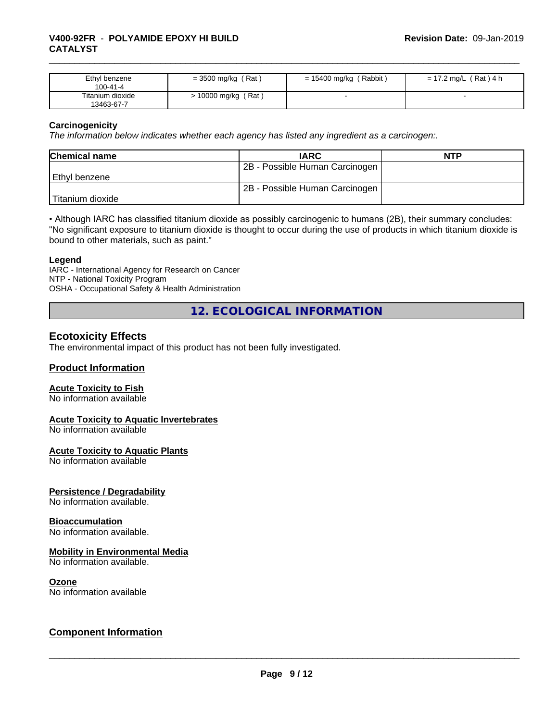| Ethyl benzene<br>100-41-4      | (Rat)<br>$=$ 3500 mg/kg $\ell$ | $= 15400$ mg/kg (Rabbit) | $= 17.2$ mg/L (Rat) 4 h |
|--------------------------------|--------------------------------|--------------------------|-------------------------|
| Titanium dioxide<br>13463-67-7 | (Rat<br>10000 mg/kg            |                          |                         |

# **Carcinogenicity**

*The information below indicateswhether each agency has listed any ingredient as a carcinogen:.*

| <b>Chemical name</b> | <b>IARC</b>                    | <b>NTP</b> |
|----------------------|--------------------------------|------------|
|                      | 2B - Possible Human Carcinogen |            |
| Ethvl benzene        |                                |            |
|                      | 2B - Possible Human Carcinogen |            |
| Titanium dioxide     |                                |            |

• Although IARC has classified titanium dioxide as possibly carcinogenic to humans (2B), their summary concludes: "No significant exposure to titanium dioxide is thought to occur during the use of products in which titanium dioxide is bound to other materials, such as paint."

#### **Legend**

IARC - International Agency for Research on Cancer NTP - National Toxicity Program OSHA - Occupational Safety & Health Administration

**12. ECOLOGICAL INFORMATION**

# **Ecotoxicity Effects**

The environmental impact of this product has not been fully investigated.

# **Product Information**

## **Acute Toxicity to Fish**

No information available

# **Acute Toxicity to Aquatic Invertebrates**

No information available

## **Acute Toxicity to Aquatic Plants**

No information available

## **Persistence / Degradability**

No information available.

## **Bioaccumulation**

No information available.

#### **Mobility in Environmental Media**

No information available.

#### **Ozone**

No information available

# **Component Information**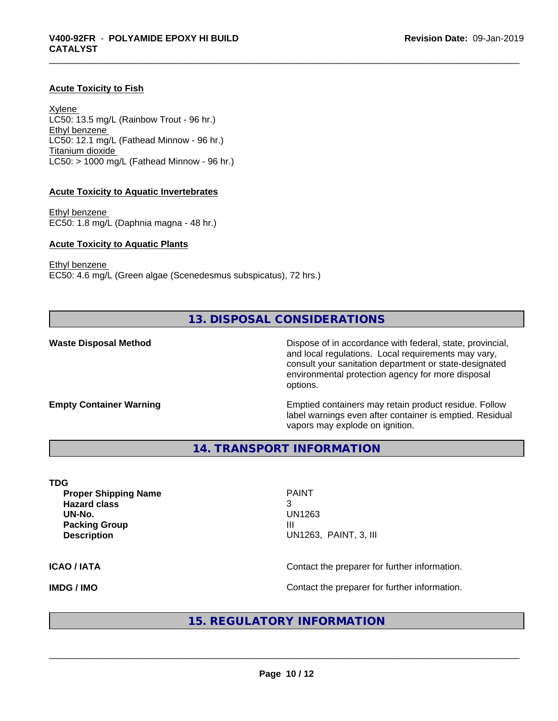# **Acute Toxicity to Fish**

Xylene LC50: 13.5 mg/L (Rainbow Trout - 96 hr.) Ethyl benzene LC50: 12.1 mg/L (Fathead Minnow - 96 hr.) Titanium dioxide  $LC50:$  > 1000 mg/L (Fathead Minnow - 96 hr.)

#### **Acute Toxicity to Aquatic Invertebrates**

Ethyl benzene EC50: 1.8 mg/L (Daphnia magna - 48 hr.)

#### **Acute Toxicity to Aquatic Plants**

Ethyl benzene

EC50: 4.6 mg/L (Green algae (Scenedesmus subspicatus), 72 hrs.)

# **13. DISPOSAL CONSIDERATIONS**

**Waste Disposal Method Dispose of in accordance with federal, state, provincial,** and local regulations. Local requirements may vary, consult your sanitation department or state-designated environmental protection agency for more disposal options.

**Empty Container Warning <b>Emptied** Containers may retain product residue. Follow label warnings even after container is emptied. Residual vapors may explode on ignition.

**14. TRANSPORT INFORMATION**

**TDG Proper Shipping Name PAINT Hazard class** 3 **Packing Group Community Community Community Community Community Community Community Community Community Community** 

**UN-No.** UN1263 **Description** UN1263, PAINT, 3, III

 $\overline{\phantom{a}}$  ,  $\overline{\phantom{a}}$  ,  $\overline{\phantom{a}}$  ,  $\overline{\phantom{a}}$  ,  $\overline{\phantom{a}}$  ,  $\overline{\phantom{a}}$  ,  $\overline{\phantom{a}}$  ,  $\overline{\phantom{a}}$  ,  $\overline{\phantom{a}}$  ,  $\overline{\phantom{a}}$  ,  $\overline{\phantom{a}}$  ,  $\overline{\phantom{a}}$  ,  $\overline{\phantom{a}}$  ,  $\overline{\phantom{a}}$  ,  $\overline{\phantom{a}}$  ,  $\overline{\phantom{a}}$ 

### **ICAO / IATA** Contact the preparer for further information.

**IMDG / IMO IMO Contact the preparer for further information.** 

# **15. REGULATORY INFORMATION**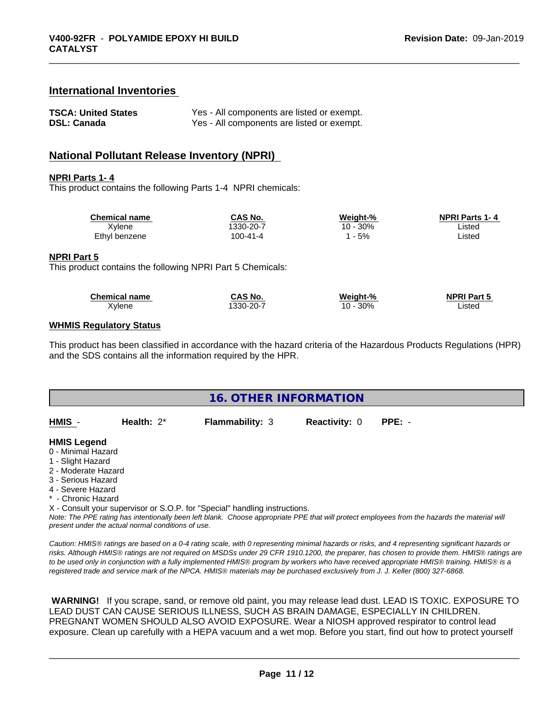# **International Inventories**

| <b>TSCA: United States</b> | Yes - All components are listed or exempt. |
|----------------------------|--------------------------------------------|
| <b>DSL: Canada</b>         | Yes - All components are listed or exempt. |

# **National Pollutant Release Inventory (NPRI)**

#### **NPRI Parts 1- 4**

This product contains the following Parts 1-4 NPRI chemicals:

| <b>Chemical name</b> | CAS No.   | Weight-% | <b>NPRI Parts 1-4</b> |  |
|----------------------|-----------|----------|-----------------------|--|
| Xylene               | 1330-20-7 | 10 - 30% | Listed                |  |
| Ethyl benzene        | 100-41-4  | - 5%     | ∟isted                |  |

#### **NPRI Part 5**

This product contains the following NPRI Part 5 Chemicals:

| <b>Chemical name</b> | <b>CAS No.</b> | Weight-%   | <b>NPRI Part 5</b> |  |
|----------------------|----------------|------------|--------------------|--|
| Xylene               | 1330-20-7      | 30%<br>1 ጦ | _isted             |  |

## **WHMIS Regulatory Status**

This product has been classified in accordance with the hazard criteria of the Hazardous Products Regulations (HPR) and the SDS contains all the information required by the HPR.

| <b>16. OTHER INFORMATION</b>                                                                                                                                                                                |               |                                                                            |                      |                                                                                                                                               |
|-------------------------------------------------------------------------------------------------------------------------------------------------------------------------------------------------------------|---------------|----------------------------------------------------------------------------|----------------------|-----------------------------------------------------------------------------------------------------------------------------------------------|
| HMIS -                                                                                                                                                                                                      | Health: $2^*$ | <b>Flammability: 3</b>                                                     | <b>Reactivity: 0</b> | $PPE: -$                                                                                                                                      |
| <b>HMIS Legend</b><br>0 - Minimal Hazard<br>1 - Slight Hazard<br>2 - Moderate Hazard<br>3 - Serious Hazard<br>4 - Severe Hazard<br>* - Chronic Hazard<br>present under the actual normal conditions of use. |               | X - Consult your supervisor or S.O.P. for "Special" handling instructions. |                      | Note: The PPE rating has intentionally been left blank. Choose appropriate PPE that will protect employees from the hazards the material will |

*Caution: HMISÒ ratings are based on a 0-4 rating scale, with 0 representing minimal hazards or risks, and 4 representing significant hazards or risks. Although HMISÒ ratings are not required on MSDSs under 29 CFR 1910.1200, the preparer, has chosen to provide them. HMISÒ ratings are to be used only in conjunction with a fully implemented HMISÒ program by workers who have received appropriate HMISÒ training. HMISÒ is a registered trade and service mark of the NPCA. HMISÒ materials may be purchased exclusively from J. J. Keller (800) 327-6868.*

 **WARNING!** If you scrape, sand, or remove old paint, you may release lead dust. LEAD IS TOXIC. EXPOSURE TO LEAD DUST CAN CAUSE SERIOUS ILLNESS, SUCH AS BRAIN DAMAGE, ESPECIALLY IN CHILDREN. PREGNANT WOMEN SHOULD ALSO AVOID EXPOSURE. Wear a NIOSH approved respirator to control lead exposure. Clean up carefully with a HEPA vacuum and a wet mop. Before you start, find out how to protect yourself